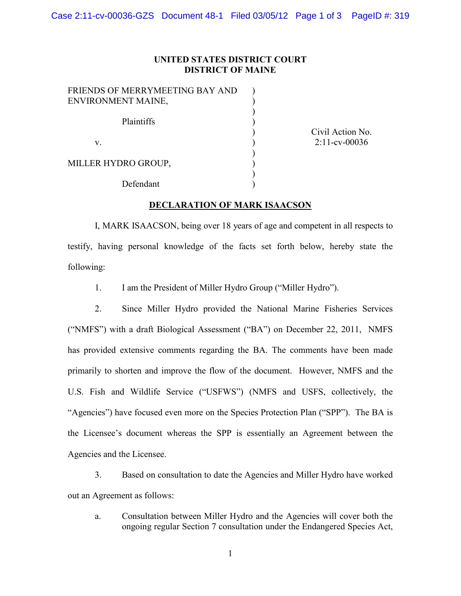## **UNITED STATES DISTRICT COURT DISTRICT OF MAINE**

| FRIENDS OF MERRYMEETING BAY AND |  |
|---------------------------------|--|
| ENVIRONMENT MAINE,              |  |
| Plaintiffs                      |  |
| V                               |  |
| MILLER HYDRO GROUP,             |  |
| Defendant                       |  |

Civil Action No. 2:11-cv-00036

## **DECLARATION OF MARK ISAACSON**

I, MARK ISAACSON, being over 18 years of age and competent in all respects to testify, having personal knowledge of the facts set forth below, hereby state the following:

1. I am the President of Miller Hydro Group ("Miller Hydro").

2. Since Miller Hydro provided the National Marine Fisheries Services ("NMFS") with a draft Biological Assessment ("BA") on December 22, 2011, NMFS has provided extensive comments regarding the BA. The comments have been made primarily to shorten and improve the flow of the document. However, NMFS and the U.S. Fish and Wildlife Service ("USFWS") (NMFS and USFS, collectively, the "Agencies") have focused even more on the Species Protection Plan ("SPP"). The BA is the Licensee's document whereas the SPP is essentially an Agreement between the Agencies and the Licensee.

3. Based on consultation to date the Agencies and Miller Hydro have worked out an Agreement as follows:

a. Consultation between Miller Hydro and the Agencies will cover both the ongoing regular Section 7 consultation under the Endangered Species Act,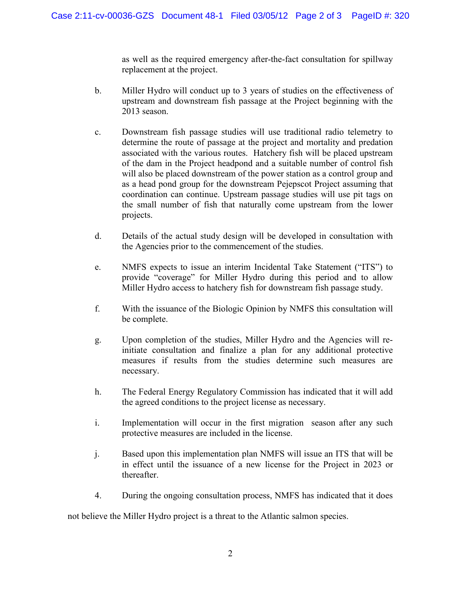as well as the required emergency after-the-fact consultation for spillway replacement at the project.

- b. Miller Hydro will conduct up to 3 years of studies on the effectiveness of upstream and downstream fish passage at the Project beginning with the 2013 season.
- c. Downstream fish passage studies will use traditional radio telemetry to determine the route of passage at the project and mortality and predation associated with the various routes. Hatchery fish will be placed upstream of the dam in the Project headpond and a suitable number of control fish will also be placed downstream of the power station as a control group and as a head pond group for the downstream Pejepscot Project assuming that coordination can continue. Upstream passage studies will use pit tags on the small number of fish that naturally come upstream from the lower projects.
- d. Details of the actual study design will be developed in consultation with the Agencies prior to the commencement of the studies.
- e. NMFS expects to issue an interim Incidental Take Statement ("ITS") to provide "coverage" for Miller Hydro during this period and to allow Miller Hydro access to hatchery fish for downstream fish passage study.
- f. With the issuance of the Biologic Opinion by NMFS this consultation will be complete.
- g. Upon completion of the studies, Miller Hydro and the Agencies will reinitiate consultation and finalize a plan for any additional protective measures if results from the studies determine such measures are necessary.
- h. The Federal Energy Regulatory Commission has indicated that it will add the agreed conditions to the project license as necessary.
- i. Implementation will occur in the first migration season after any such protective measures are included in the license.
- j. Based upon this implementation plan NMFS will issue an ITS that will be in effect until the issuance of a new license for the Project in 2023 or thereafter.
- 4. During the ongoing consultation process, NMFS has indicated that it does

not believe the Miller Hydro project is a threat to the Atlantic salmon species.